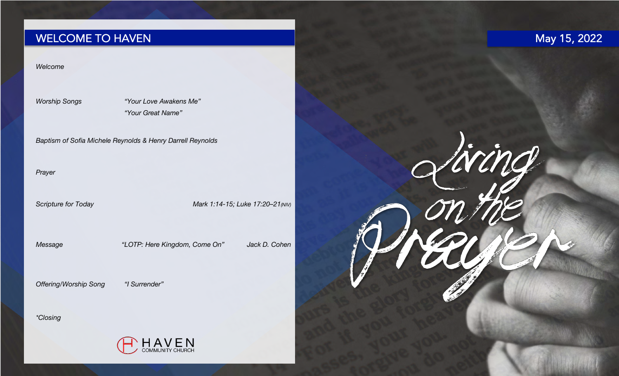# WELCOME TO HAVEN

# May 15, 2022

Living

## *Welcome*

*Worship Songs "Your Love Awakens Me" "Your Great Name"*

*Baptism of Sofia Michele Reynolds & Henry Darrell Reynolds*

*Prayer*

Scripture for Today **Mark 1:14-15; Luke 17:20–21(NIV)** 

*Message "LOTP: Here Kingdom, Come On" Jack D. Cohen*

*Offering/Worship Song "I Surrender"*

*\*Closing*